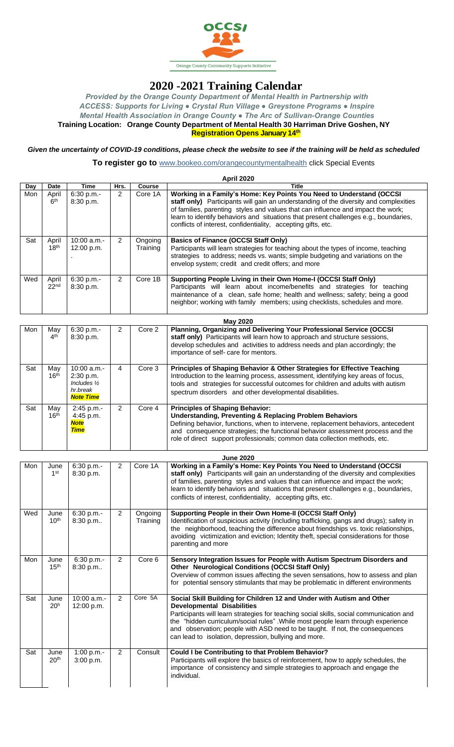

## **2020 -2021 Training Calendar**

*Provided by the Orange County Department of Mental Health in Partnership with ACCESS: Supports for Living ● Crystal Run Village ● Greystone Programs ● Inspire Mental Health Association in Orange County ● The Arc of Sullivan-Orange Counties*  **Training Location: Orange County Department of Mental Health 30 Harriman Drive Goshen, NY Registration Opens January 14th**

## *Given the uncertainty of COVID-19 conditions, please check the website to see if the training will be held as scheduled*

**To register go to** [www.bookeo.com/orangecountymentalhealth](http://www.bookeo.com/orangecountymentalhealth) click Special Events

|     |                           |                                                                                    |                |                     | April 2020                                                                                                                                                                                                                                                                                                                                                                                                                         |
|-----|---------------------------|------------------------------------------------------------------------------------|----------------|---------------------|------------------------------------------------------------------------------------------------------------------------------------------------------------------------------------------------------------------------------------------------------------------------------------------------------------------------------------------------------------------------------------------------------------------------------------|
| Day | Date                      | <b>Time</b>                                                                        | Hrs.           | Course              | <b>Title</b>                                                                                                                                                                                                                                                                                                                                                                                                                       |
| Mon | April<br>6 <sup>th</sup>  | 6:30 p.m.-<br>8:30 p.m.                                                            | 2              | Core 1A             | Working in a Family's Home: Key Points You Need to Understand (OCCSI<br>staff only) Participants will gain an understanding of the diversity and complexities<br>of families, parenting styles and values that can influence and impact the work;<br>learn to identify behaviors and situations that present challenges e.g., boundaries,<br>conflicts of interest, confidentiality, accepting gifts, etc.                         |
| Sat | April<br>18 <sup>th</sup> | 10:00 a.m.-<br>12:00 p.m.                                                          | 2              | Ongoing<br>Training | <b>Basics of Finance (OCCSI Staff Only)</b><br>Participants will learn strategies for teaching about the types of income, teaching<br>strategies to address; needs vs. wants; simple budgeting and variations on the<br>envelop system; credit and credit offers; and more                                                                                                                                                         |
| Wed | April<br>22 <sub>nd</sub> | 6:30 p.m.-<br>8:30 p.m.                                                            | $\overline{2}$ | Core 1B             | Supporting People Living in their Own Home-I (OCCSI Staff Only)<br>Participants will learn about income/benefits and strategies for teaching<br>maintenance of a clean, safe home; health and wellness; safety; being a good<br>neighbor; working with family members; using checklists, schedules and more.                                                                                                                       |
|     |                           |                                                                                    |                |                     | <b>May 2020</b>                                                                                                                                                                                                                                                                                                                                                                                                                    |
| Mon | May<br>4 <sup>th</sup>    | 6:30 p.m.-<br>8:30 p.m.                                                            | 2              | Core 2              | Planning, Organizing and Delivering Your Professional Service (OCCSI<br>staff only) Participants will learn how to approach and structure sessions,<br>develop schedules and activities to address needs and plan accordingly; the<br>importance of self- care for mentors.                                                                                                                                                        |
| Sat | May<br>16 <sup>th</sup>   | 10:00 a.m.-<br>2:30 p.m.<br>Includes $\frac{1}{2}$<br>hr.break<br><b>Note Time</b> | $\overline{4}$ | Core 3              | Principles of Shaping Behavior & Other Strategies for Effective Teaching<br>Introduction to the learning process, assessment, identifying key areas of focus,<br>tools and strategies for successful outcomes for children and adults with autism<br>spectrum disorders and other developmental disabilities.                                                                                                                      |
| Sat | May<br>16 <sup>th</sup>   | 2:45 p.m.-<br>4:45 p.m.<br><b>Note</b><br><b>Time</b>                              | 2              | Core 4              | <b>Principles of Shaping Behavior:</b><br><b>Understanding, Preventing &amp; Replacing Problem Behaviors</b><br>Defining behavior, functions, when to intervene, replacement behaviors, antecedent<br>and consequence strategies; the functional behavior assessment process and the<br>role of direct support professionals; common data collection methods, etc.                                                                 |
|     |                           |                                                                                    |                |                     | <b>June 2020</b>                                                                                                                                                                                                                                                                                                                                                                                                                   |
| Mon | June<br>1 <sup>st</sup>   | 6:30 p.m.-<br>8:30 p.m.                                                            | $\overline{2}$ | Core 1A             | Working in a Family's Home: Key Points You Need to Understand (OCCSI<br>staff only) Participants will gain an understanding of the diversity and complexities<br>of families, parenting styles and values that can influence and impact the work;<br>learn to identify behaviors and situations that present challenges e.g., boundaries,<br>conflicts of interest, confidentiality, accepting gifts, etc.                         |
| Wed | June<br>10 <sup>th</sup>  | 6:30 p.m.-<br>8:30 p.m                                                             | 2              | Ongoing<br>Training | Supporting People in their Own Home-II (OCCSI Staff Only)<br>Identification of suspicious activity (including trafficking, gangs and drugs); safety in<br>the neighborhood, teaching the difference about friendships vs. toxic relationships,<br>avoiding victimization and eviction; Identity theft, special considerations for those<br>parenting and more                                                                      |
| Mon | June<br>15 <sup>th</sup>  | 6:30 p.m.-<br>8:30 p.m                                                             | $\overline{2}$ | Core 6              | Sensory Integration Issues for People with Autism Spectrum Disorders and<br><b>Other Neurological Conditions (OCCSI Staff Only)</b><br>Overview of common issues affecting the seven sensations, how to assess and plan<br>for potential sensory stimulants that may be problematic in different environments                                                                                                                      |
| Sat | June<br>20 <sup>h</sup>   | 10:00 a.m.-<br>12:00 p.m.                                                          | $\overline{2}$ | Core 5A             | Social Skill Building for Children 12 and Under with Autism and Other<br><b>Developmental Disabilities</b><br>Participants will learn strategies for teaching social skills, social communication and<br>the "hidden curriculum/social rules" .While most people learn through experience<br>and observation; people with ASD need to be taught. If not, the consequences<br>can lead to isolation, depression, bullying and more. |
| Sat | June<br>20 <sup>th</sup>  | 1:00 p.m.-<br>3:00 p.m.                                                            | 2              | Consult             | Could I be Contributing to that Problem Behavior?<br>Participants will explore the basics of reinforcement, how to apply schedules, the<br>importance of consistency and simple strategies to approach and engage the<br>individual.                                                                                                                                                                                               |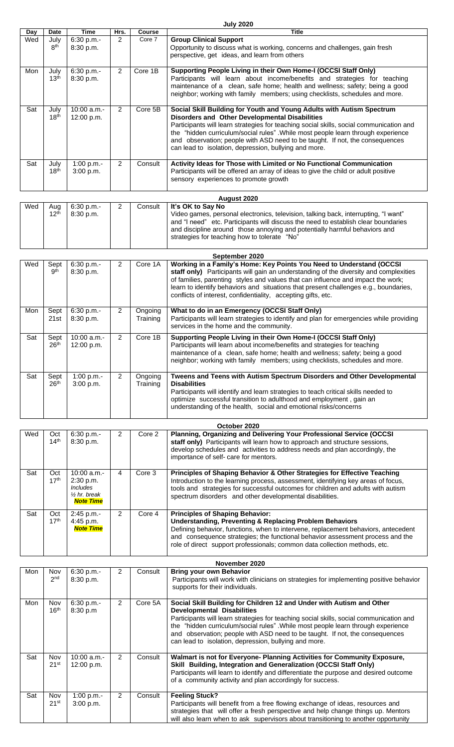| July 2020 |
|-----------|
|           |
|           |

| <b>Day</b> | Date                     | <b>Time</b>                                                                                | Hrs.           | Course              | <b>Title</b>                                                                                                                                                                                                                                                                                                                                                                                                                                    |
|------------|--------------------------|--------------------------------------------------------------------------------------------|----------------|---------------------|-------------------------------------------------------------------------------------------------------------------------------------------------------------------------------------------------------------------------------------------------------------------------------------------------------------------------------------------------------------------------------------------------------------------------------------------------|
| Wed        | July<br>8 <sup>th</sup>  | 6:30 p.m.-<br>8:30 p.m.                                                                    | 2              | Core 7              | <b>Group Clinical Support</b><br>Opportunity to discuss what is working, concerns and challenges, gain fresh<br>perspective, get ideas, and learn from others                                                                                                                                                                                                                                                                                   |
| Mon        | July<br>13 <sup>th</sup> | 6:30 p.m.-<br>8:30 p.m.                                                                    | $\overline{2}$ | Core 1B             | Supporting People Living in their Own Home-I (OCCSI Staff Only)<br>Participants will learn about income/benefits and strategies for teaching<br>maintenance of a clean, safe home; health and wellness; safety; being a good<br>neighbor; working with family members; using checklists, schedules and more.                                                                                                                                    |
| Sat        | July<br>18 <sup>th</sup> | 10:00 a.m.-<br>12:00 p.m.                                                                  | $\overline{2}$ | Core 5B             | Social Skill Building for Youth and Young Adults with Autism Spectrum<br>Disorders and Other Developmental Disabilities<br>Participants will learn strategies for teaching social skills, social communication and<br>the "hidden curriculum/social rules". While most people learn through experience<br>and observation; people with ASD need to be taught. If not, the consequences<br>can lead to isolation, depression, bullying and more. |
| Sat        | July<br>18 <sup>th</sup> | 1:00 p.m.-<br>3:00 p.m.                                                                    | $\overline{2}$ | Consult             | Activity Ideas for Those with Limited or No Functional Communication<br>Participants will be offered an array of ideas to give the child or adult positive<br>sensory experiences to promote growth                                                                                                                                                                                                                                             |
|            |                          |                                                                                            |                |                     | August 2020                                                                                                                                                                                                                                                                                                                                                                                                                                     |
| Wed        | Aug<br>12 <sup>th</sup>  | 6:30 p.m.-<br>8:30 p.m.                                                                    | 2              | Consult             | It's OK to Say No<br>Video games, personal electronics, television, talking back, interrupting, "I want"<br>and "I need" etc. Participants will discuss the need to establish clear boundaries<br>and discipline around those annoying and potentially harmful behaviors and<br>strategies for teaching how to tolerate "No"                                                                                                                    |
|            |                          |                                                                                            |                |                     | September 2020                                                                                                                                                                                                                                                                                                                                                                                                                                  |
| Wed        | Sept<br>9 <sup>th</sup>  | 6:30 p.m.-<br>8:30 p.m.                                                                    | 2              | Core 1A             | Working in a Family's Home: Key Points You Need to Understand (OCCSI<br>staff only) Participants will gain an understanding of the diversity and complexities<br>of families, parenting styles and values that can influence and impact the work;<br>learn to identify behaviors and situations that present challenges e.g., boundaries,<br>conflicts of interest, confidentiality, accepting gifts, etc.                                      |
| Mon        | Sept<br>21st             | 6:30 p.m.-<br>8:30 p.m.                                                                    | $\mathbf{2}$   | Ongoing<br>Training | What to do in an Emergency (OCCSI Staff Only)<br>Participants will learn strategies to identify and plan for emergencies while providing<br>services in the home and the community.                                                                                                                                                                                                                                                             |
| Sat        | Sept<br>26 <sup>th</sup> | 10:00 a.m.-<br>12:00 p.m.                                                                  | $\overline{2}$ | Core 1B             | Supporting People Living in their Own Home-I (OCCSI Staff Only)<br>Participants will learn about income/benefits and strategies for teaching<br>maintenance of a clean, safe home; health and wellness; safety; being a good<br>neighbor; working with family members; using checklists, schedules and more.                                                                                                                                    |
| Sat        | Sept<br>26 <sup>th</sup> | 1:00 p.m.-<br>3:00 p.m.                                                                    | $\overline{2}$ | Ongoing<br>Training | Tweens and Teens with Autism Spectrum Disorders and Other Developmental<br><b>Disabilities</b><br>Participants will identify and learn strategies to teach critical skills needed to<br>optimize successful transition to adulthood and employment, gain an<br>understanding of the health, social and emotional risks/concerns                                                                                                                 |
|            |                          |                                                                                            |                |                     |                                                                                                                                                                                                                                                                                                                                                                                                                                                 |
| Wed        | Oct<br>14 <sup>th</sup>  | 6:30 p.m.-<br>8:30 p.m.                                                                    | $\overline{2}$ | Core 2              | October 2020<br>Planning, Organizing and Delivering Your Professional Service (OCCSI<br>staff only) Participants will learn how to approach and structure sessions,<br>develop schedules and activities to address needs and plan accordingly, the<br>importance of self- care for mentors.                                                                                                                                                     |
| Sat        | Oct<br>17 <sup>th</sup>  | 10:00 a.m.-<br>2:30 p.m.<br><b>Includes</b><br>$\frac{1}{2}$ hr. break<br><b>Note Time</b> | $\overline{4}$ | Core 3              | Principles of Shaping Behavior & Other Strategies for Effective Teaching<br>Introduction to the learning process, assessment, identifying key areas of focus,<br>tools and strategies for successful outcomes for children and adults with autism<br>spectrum disorders and other developmental disabilities.                                                                                                                                   |
| Sat        | Oct<br>17 <sup>th</sup>  | 2:45 p.m.-<br>4:45 p.m.<br><b>Note Time</b>                                                | $\overline{2}$ | Core 4              | <b>Principles of Shaping Behavior:</b><br><b>Understanding, Preventing &amp; Replacing Problem Behaviors</b><br>Defining behavior, functions, when to intervene, replacement behaviors, antecedent<br>and consequence strategies; the functional behavior assessment process and the<br>role of direct support professionals; common data collection methods, etc.                                                                              |
|            |                          |                                                                                            |                |                     | November 2020                                                                                                                                                                                                                                                                                                                                                                                                                                   |
| Mon        | Nov<br>2 <sup>nd</sup>   | 6:30 p.m.-<br>8:30 p.m.                                                                    | $\overline{2}$ | Consult             | <b>Bring your own Behavior</b><br>Participants will work with clinicians on strategies for implementing positive behavior<br>supports for their individuals.                                                                                                                                                                                                                                                                                    |
| Mon        | Nov<br>16 <sup>th</sup>  | 6:30 p.m.-<br>8:30 p.m                                                                     | $\overline{2}$ | Core 5A             | Social Skill Building for Children 12 and Under with Autism and Other<br><b>Developmental Disabilities</b><br>Participants will learn strategies for teaching social skills, social communication and<br>the "hidden curriculum/social rules". While most people learn through experience<br>and observation; people with ASD need to be taught. If not, the consequences<br>can lead to isolation, depression, bullying and more.              |
| Sat        | Nov<br>21 <sup>st</sup>  | 10:00 a.m.-<br>12:00 p.m.                                                                  | $\overline{2}$ | Consult             | Walmart is not for Everyone- Planning Activities for Community Exposure,<br>Skill Building, Integration and Generalization (OCCSI Staff Only)<br>Participants will learn to identify and differentiate the purpose and desired outcome<br>of a community activity and plan accordingly for success.                                                                                                                                             |
| Sat        | Nov<br>21 <sup>st</sup>  | 1:00 p.m.-<br>3:00 p.m.                                                                    | $\overline{2}$ | Consult             | <b>Feeling Stuck?</b><br>Participants will benefit from a free flowing exchange of ideas, resources and                                                                                                                                                                                                                                                                                                                                         |

strategies that will offer a fresh perspective and help change things up. Mentors will also learn when to ask supervisors about transitioning to another opportunity